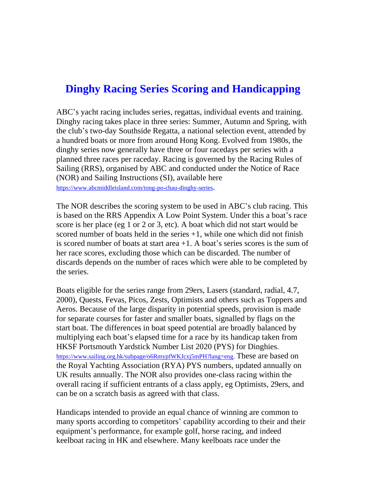## **Dinghy Racing Series Scoring and Handicapping**

ABC's yacht racing includes series, regattas, individual events and training. Dinghy racing takes place in three series: Summer, Autumn and Spring, with the club's two-day Southside Regatta, a national selection event, attended by a hundred boats or more from around Hong Kong. Evolved from 1980s, the dinghy series now generally have three or four racedays per series with a planned three races per raceday. Racing is governed by the Racing Rules of Sailing (RRS), organised by ABC and conducted under the Notice of Race (NOR) and Sailing Instructions (SI), available here <https://www.abcmiddleisland.com/tong-po-chau-dinghy-series>.

The NOR describes the scoring system to be used in ABC's club racing. This is based on the RRS Appendix A Low Point System. Under this a boat's race score is her place (eg 1 or 2 or 3, etc). A boat which did not start would be scored number of boats held in the series  $+1$ , while one which did not finish is scored number of boats at start area  $+1$ . A boat's series scores is the sum of her race scores, excluding those which can be discarded. The number of discards depends on the number of races which were able to be completed by the series.

Boats eligible for the series range from 29ers, Lasers (standard, radial, 4.7, 2000), Quests, Fevas, Picos, Zests, Optimists and others such as Toppers and Aeros. Because of the large disparity in potential speeds, provision is made for separate courses for faster and smaller boats, signalled by flags on the start boat. The differences in boat speed potential are broadly balanced by multiplying each boat's elapsed time for a race by its handicap taken from HKSF Portsmouth Yardstick Number List 2020 (PYS) for Dinghies. [https://www.sailing.org.hk/subpage/o6RmypfWKJcxj5mPH?lang=eng.](https://www.sailing.org.hk/subpage/o6RmypfWKJcxj5mPH?lang=eng) These are based on the Royal Yachting Association (RYA) PYS numbers, updated annually on UK results annually. The NOR also provides one-class racing within the overall racing if sufficient entrants of a class apply, eg Optimists, 29ers, and can be on a scratch basis as agreed with that class.

Handicaps intended to provide an equal chance of winning are common to many sports according to competitors' capability according to their and their equipment's performance, for example golf, horse racing, and indeed keelboat racing in HK and elsewhere. Many keelboats race under the